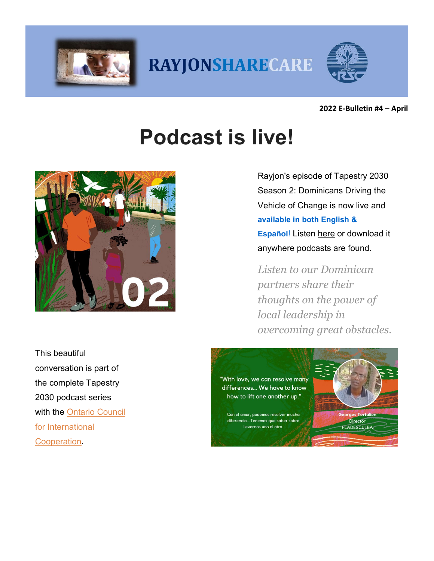

RAYJONSHARECARE



**2022 E-Bulletin #4 – April**

# **Podcast is live!**



This beautiful conversation is part of the complete Tapestry 2030 podcast series with the [Ontario Council](https://rayjon.us10.list-manage.com/track/click?u=26a802bf5fed5b96d3ff31194&id=db3d3349f9&e=c1338905bf)  [for International](https://rayjon.us10.list-manage.com/track/click?u=26a802bf5fed5b96d3ff31194&id=db3d3349f9&e=c1338905bf)  [Cooperation](https://rayjon.us10.list-manage.com/track/click?u=26a802bf5fed5b96d3ff31194&id=db3d3349f9&e=c1338905bf)**.**

Rayjon's episode of Tapestry 2030 Season 2: Dominicans Driving the Vehicle of Change is now live and **available in both English & Español!** Listen [here](https://rayjon.us10.list-manage.com/track/click?u=26a802bf5fed5b96d3ff31194&id=03335b981c&e=c1338905bf) or download it anywhere podcasts are found.

*Listen to our Dominican partners share their thoughts on the power of local leadership in overcoming great obstacles.*

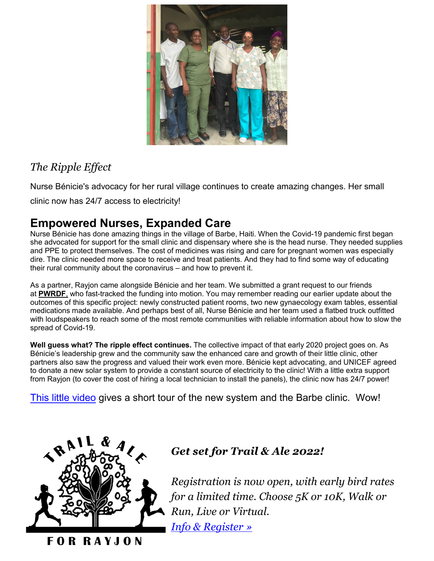

#### *The Ripple Effect*

Nurse Bénicie's advocacy for her rural village continues to create amazing changes. Her small

clinic now has 24/7 access to electricity!

## **Empowered Nurses, Expanded Care**

Nurse Bénicie has done amazing things in the village of Barbe, Haiti. When the Covid-19 pandemic first began she advocated for support for the small clinic and dispensary where she is the head nurse. They needed supplies and PPE to protect themselves. The cost of medicines was rising and care for pregnant women was especially dire. The clinic needed more space to receive and treat patients. And they had to find some way of educating their rural community about the coronavirus – and how to prevent it.

As a partner, Rayjon came alongside Bénicie and her team. We submitted a grant request to our friends at **[PWRDF](https://pwrdf.org/)**[,](https://pwrdf.org/) who fast-tracked the funding into motion. You may remember reading our earlier update about the outcomes of this specific project: newly constructed patient rooms, two new gynaecology exam tables, essential medications made available. And perhaps best of all, Nurse Bénicie and her team used a flatbed truck outfitted with loudspeakers to reach some of the most remote communities with reliable information about how to slow the spread of Covid-19.

**Well guess what? The ripple effect continues.** The collective impact of that early 2020 project goes on. As Bénicie's leadership grew and the community saw the enhanced care and growth of their little clinic, other partners also saw the progress and valued their work even more. Bénicie kept advocating, and UNICEF agreed to donate a new solar system to provide a constant source of electricity to the clinic! With a little extra support from Rayjon (to cover the cost of hiring a local technician to install the panels), the clinic now has 24/7 power!

This little [video](https://www.youtube.com/watch?v=EusCzirPkno&feature=emb_logo) gives a short tour of the new system and the Barbe clinic. Wow!



#### *Get set for Trail & Ale 2022!*

*Registration is now open, with early bird rates for a limited time. Choose 5K or 10K, Walk or Run, Live or Virtual. [Info & Register](https://rayjon.us10.list-manage.com/track/click?u=26a802bf5fed5b96d3ff31194&id=b45bf34baa&e=c1338905bf) »*